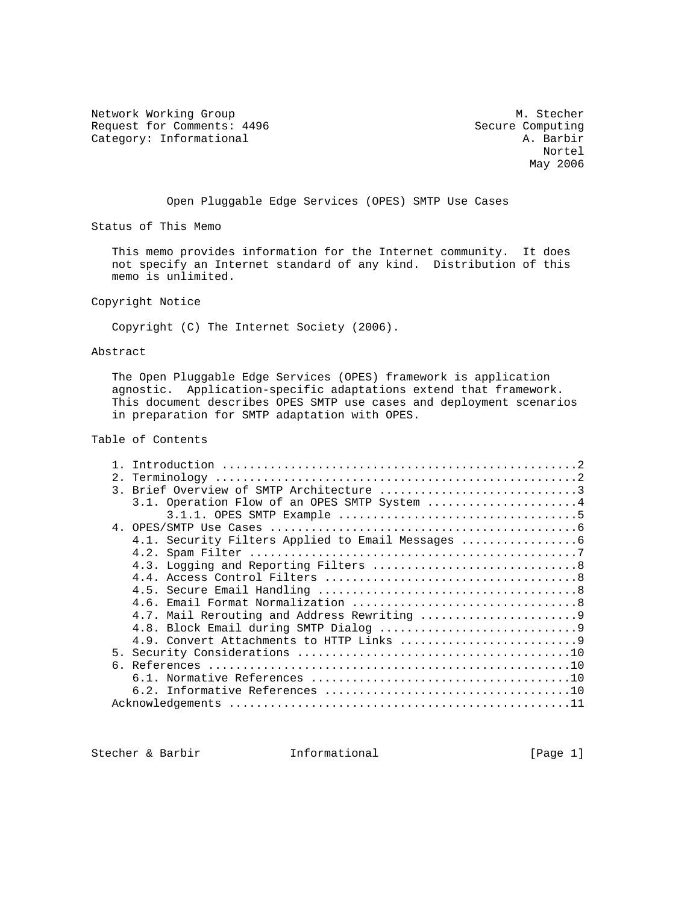Network Working Group Methods and Muslim Muslim Muslim Muslim Muslim Muslim Muslim Muslim Muslim Muslim Muslim Request for Comments: 4496 Secure Computing<br>Category: Informational A. Barbir

Category: Informational and A. Barbir (A. Barbir ) and A. Barbir (A. Barbir ) and A. Barbir (A. Barbir ) and  $A$ . Barbir ) and  $A$ . Barbir (A. Barbir ) and  $A$ . Barbir ) and  $A$ . Barbir (A. Barbir ) and  $A$ . Barbir (A. Bar Nortel May 2006

Open Pluggable Edge Services (OPES) SMTP Use Cases

Status of This Memo

 This memo provides information for the Internet community. It does not specify an Internet standard of any kind. Distribution of this memo is unlimited.

Copyright Notice

Copyright (C) The Internet Society (2006).

### Abstract

 The Open Pluggable Edge Services (OPES) framework is application agnostic. Application-specific adaptations extend that framework. This document describes OPES SMTP use cases and deployment scenarios in preparation for SMTP adaptation with OPES.

# Table of Contents

| 2. |                                                 |
|----|-------------------------------------------------|
|    | 3. Brief Overview of SMTP Architecture 3        |
|    | 3.1. Operation Flow of an OPES SMTP System 4    |
|    |                                                 |
|    |                                                 |
|    | 4.1. Security Filters Applied to Email Messages |
|    |                                                 |
|    |                                                 |
|    |                                                 |
|    |                                                 |
|    |                                                 |
|    | 4.7. Mail Rerouting and Address Rewriting 9     |
|    |                                                 |
|    |                                                 |
|    |                                                 |
|    |                                                 |
|    |                                                 |
|    |                                                 |
|    |                                                 |

Stecher & Barbir **Informational** [Page 1]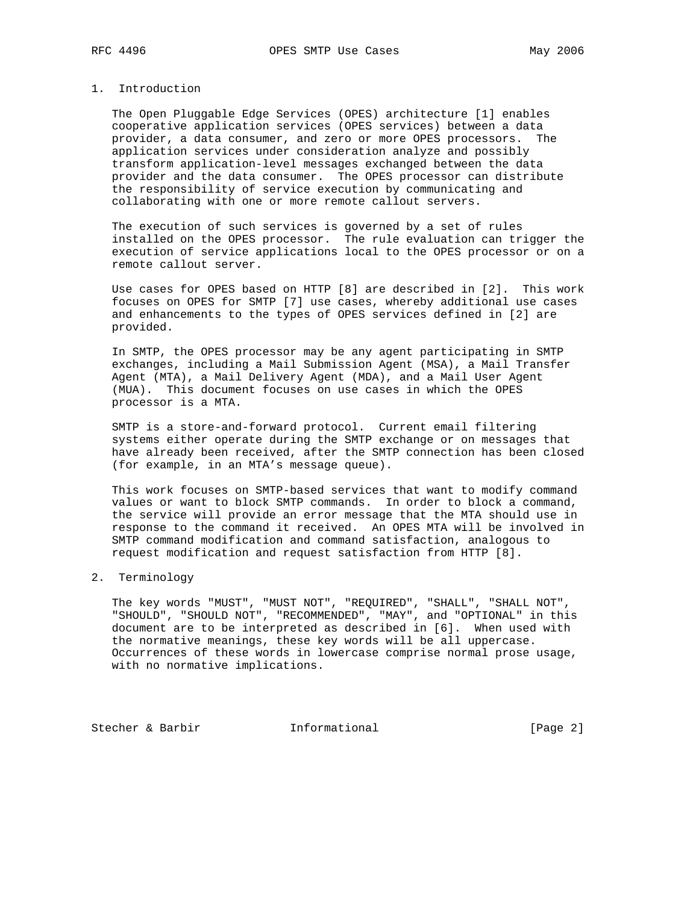## 1. Introduction

 The Open Pluggable Edge Services (OPES) architecture [1] enables cooperative application services (OPES services) between a data provider, a data consumer, and zero or more OPES processors. The application services under consideration analyze and possibly transform application-level messages exchanged between the data provider and the data consumer. The OPES processor can distribute the responsibility of service execution by communicating and collaborating with one or more remote callout servers.

 The execution of such services is governed by a set of rules installed on the OPES processor. The rule evaluation can trigger the execution of service applications local to the OPES processor or on a remote callout server.

 Use cases for OPES based on HTTP [8] are described in [2]. This work focuses on OPES for SMTP [7] use cases, whereby additional use cases and enhancements to the types of OPES services defined in [2] are provided.

 In SMTP, the OPES processor may be any agent participating in SMTP exchanges, including a Mail Submission Agent (MSA), a Mail Transfer Agent (MTA), a Mail Delivery Agent (MDA), and a Mail User Agent (MUA). This document focuses on use cases in which the OPES processor is a MTA.

 SMTP is a store-and-forward protocol. Current email filtering systems either operate during the SMTP exchange or on messages that have already been received, after the SMTP connection has been closed (for example, in an MTA's message queue).

 This work focuses on SMTP-based services that want to modify command values or want to block SMTP commands. In order to block a command, the service will provide an error message that the MTA should use in response to the command it received. An OPES MTA will be involved in SMTP command modification and command satisfaction, analogous to request modification and request satisfaction from HTTP [8].

### 2. Terminology

 The key words "MUST", "MUST NOT", "REQUIRED", "SHALL", "SHALL NOT", "SHOULD", "SHOULD NOT", "RECOMMENDED", "MAY", and "OPTIONAL" in this document are to be interpreted as described in [6]. When used with the normative meanings, these key words will be all uppercase. Occurrences of these words in lowercase comprise normal prose usage, with no normative implications.

Stecher & Barbir **Informational** [Page 2]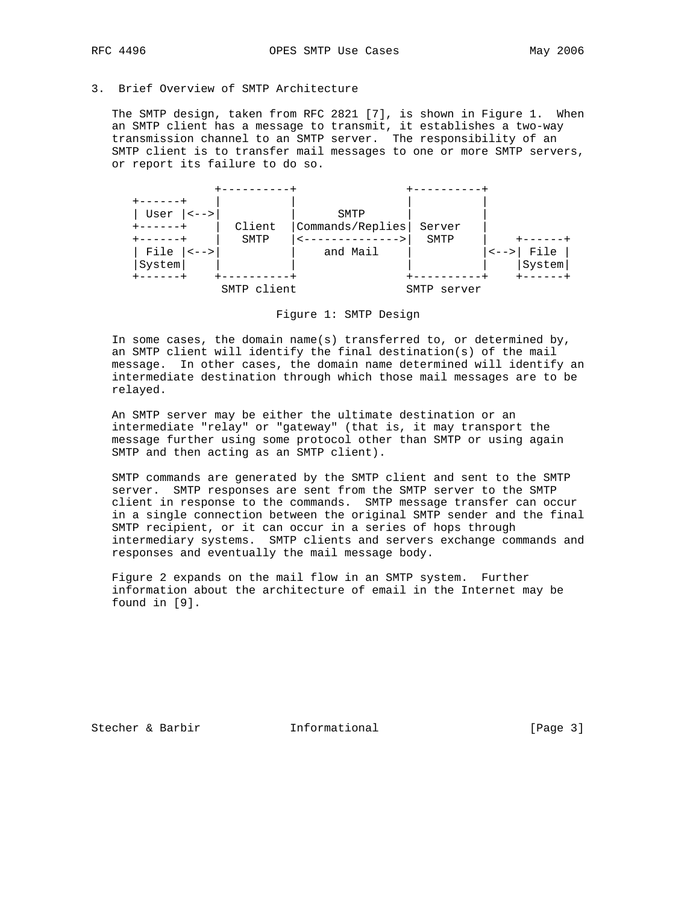## 3. Brief Overview of SMTP Architecture

 The SMTP design, taken from RFC 2821 [7], is shown in Figure 1. When an SMTP client has a message to transmit, it establishes a two-way transmission channel to an SMTP server. The responsibility of an SMTP client is to transfer mail messages to one or more SMTP servers, or report its failure to do so.



## Figure 1: SMTP Design

 In some cases, the domain name(s) transferred to, or determined by, an SMTP client will identify the final destination(s) of the mail message. In other cases, the domain name determined will identify an intermediate destination through which those mail messages are to be relayed.

 An SMTP server may be either the ultimate destination or an intermediate "relay" or "gateway" (that is, it may transport the message further using some protocol other than SMTP or using again SMTP and then acting as an SMTP client).

 SMTP commands are generated by the SMTP client and sent to the SMTP server. SMTP responses are sent from the SMTP server to the SMTP client in response to the commands. SMTP message transfer can occur in a single connection between the original SMTP sender and the final SMTP recipient, or it can occur in a series of hops through intermediary systems. SMTP clients and servers exchange commands and responses and eventually the mail message body.

 Figure 2 expands on the mail flow in an SMTP system. Further information about the architecture of email in the Internet may be found in [9].

Stecher & Barbir **Informational** [Page 3]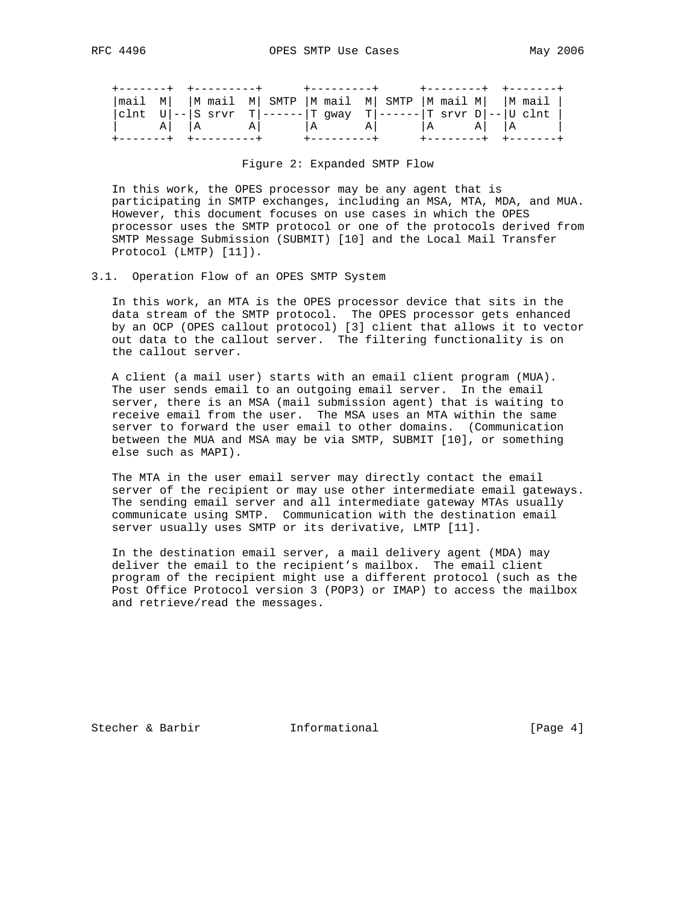|  |  |  |  |  |  |  |  | mail M   M mail M  SMTP  M mail M  SMTP  M mail M   M mail   |  |  |  |  |  |
|--|--|--|--|--|--|--|--|--------------------------------------------------------------|--|--|--|--|--|
|  |  |  |  |  |  |  |  | clnt U -- S srvr T ------ T gway T ------ T srvr D -- U clnt |  |  |  |  |  |
|  |  |  |  |  |  |  |  |                                                              |  |  |  |  |  |
|  |  |  |  |  |  |  |  |                                                              |  |  |  |  |  |

Figure 2: Expanded SMTP Flow

 In this work, the OPES processor may be any agent that is participating in SMTP exchanges, including an MSA, MTA, MDA, and MUA. However, this document focuses on use cases in which the OPES processor uses the SMTP protocol or one of the protocols derived from SMTP Message Submission (SUBMIT) [10] and the Local Mail Transfer Protocol (LMTP) [11]).

## 3.1. Operation Flow of an OPES SMTP System

 In this work, an MTA is the OPES processor device that sits in the data stream of the SMTP protocol. The OPES processor gets enhanced by an OCP (OPES callout protocol) [3] client that allows it to vector out data to the callout server. The filtering functionality is on the callout server.

 A client (a mail user) starts with an email client program (MUA). The user sends email to an outgoing email server. In the email server, there is an MSA (mail submission agent) that is waiting to receive email from the user. The MSA uses an MTA within the same server to forward the user email to other domains. (Communication between the MUA and MSA may be via SMTP, SUBMIT [10], or something else such as MAPI).

 The MTA in the user email server may directly contact the email server of the recipient or may use other intermediate email gateways. The sending email server and all intermediate gateway MTAs usually communicate using SMTP. Communication with the destination email server usually uses SMTP or its derivative, LMTP [11].

 In the destination email server, a mail delivery agent (MDA) may deliver the email to the recipient's mailbox. The email client program of the recipient might use a different protocol (such as the Post Office Protocol version 3 (POP3) or IMAP) to access the mailbox and retrieve/read the messages.

Stecher & Barbir **Informational** [Page 4]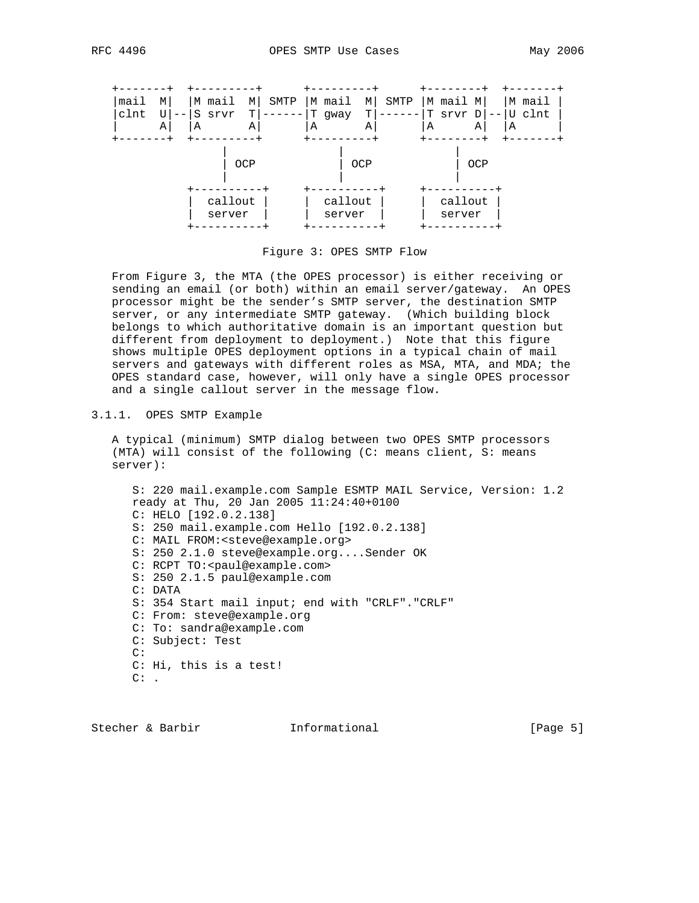

Figure 3: OPES SMTP Flow

 From Figure 3, the MTA (the OPES processor) is either receiving or sending an email (or both) within an email server/gateway. An OPES processor might be the sender's SMTP server, the destination SMTP server, or any intermediate SMTP gateway. (Which building block belongs to which authoritative domain is an important question but different from deployment to deployment.) Note that this figure shows multiple OPES deployment options in a typical chain of mail servers and gateways with different roles as MSA, MTA, and MDA; the OPES standard case, however, will only have a single OPES processor and a single callout server in the message flow.

#### 3.1.1. OPES SMTP Example

 A typical (minimum) SMTP dialog between two OPES SMTP processors (MTA) will consist of the following (C: means client, S: means server):

 S: 220 mail.example.com Sample ESMTP MAIL Service, Version: 1.2 ready at Thu, 20 Jan 2005 11:24:40+0100 C: HELO [192.0.2.138] S: 250 mail.example.com Hello [192.0.2.138] C: MAIL FROM:<steve@example.org> S: 250 2.1.0 steve@example.org....Sender OK C: RCPT TO: < paul@example.com> S: 250 2.1.5 paul@example.com C: DATA S: 354 Start mail input; end with "CRLF"."CRLF" C: From: steve@example.org C: To: sandra@example.com C: Subject: Test C: C: Hi, this is a test!  $C:$ .

Stecher & Barbir **Informational** [Page 5]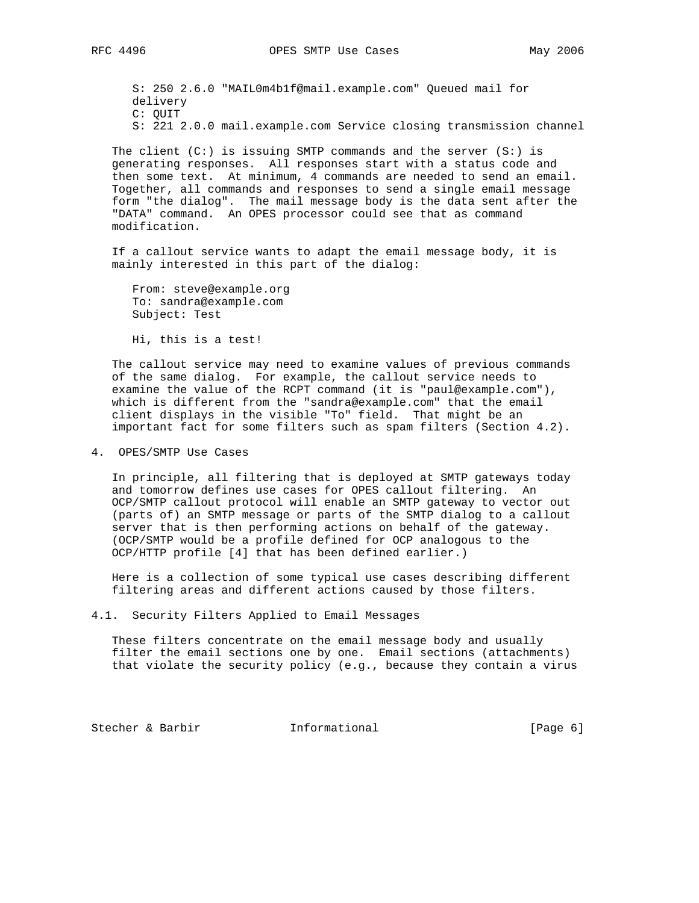S: 250 2.6.0 "MAIL0m4b1f@mail.example.com" Queued mail for delivery C: QUIT S: 221 2.0.0 mail.example.com Service closing transmission channel

The client  $(C: )$  is issuing SMTP commands and the server  $(S: )$  is generating responses. All responses start with a status code and then some text. At minimum, 4 commands are needed to send an email. Together, all commands and responses to send a single email message form "the dialog". The mail message body is the data sent after the "DATA" command. An OPES processor could see that as command modification.

 If a callout service wants to adapt the email message body, it is mainly interested in this part of the dialog:

 From: steve@example.org To: sandra@example.com Subject: Test

Hi, this is a test!

 The callout service may need to examine values of previous commands of the same dialog. For example, the callout service needs to examine the value of the RCPT command (it is "paul@example.com"), which is different from the "sandra@example.com" that the email client displays in the visible "To" field. That might be an important fact for some filters such as spam filters (Section 4.2).

4. OPES/SMTP Use Cases

 In principle, all filtering that is deployed at SMTP gateways today and tomorrow defines use cases for OPES callout filtering. An OCP/SMTP callout protocol will enable an SMTP gateway to vector out (parts of) an SMTP message or parts of the SMTP dialog to a callout server that is then performing actions on behalf of the gateway. (OCP/SMTP would be a profile defined for OCP analogous to the OCP/HTTP profile [4] that has been defined earlier.)

 Here is a collection of some typical use cases describing different filtering areas and different actions caused by those filters.

4.1. Security Filters Applied to Email Messages

 These filters concentrate on the email message body and usually filter the email sections one by one. Email sections (attachments) that violate the security policy (e.g., because they contain a virus

Stecher & Barbir **Informational** [Page 6]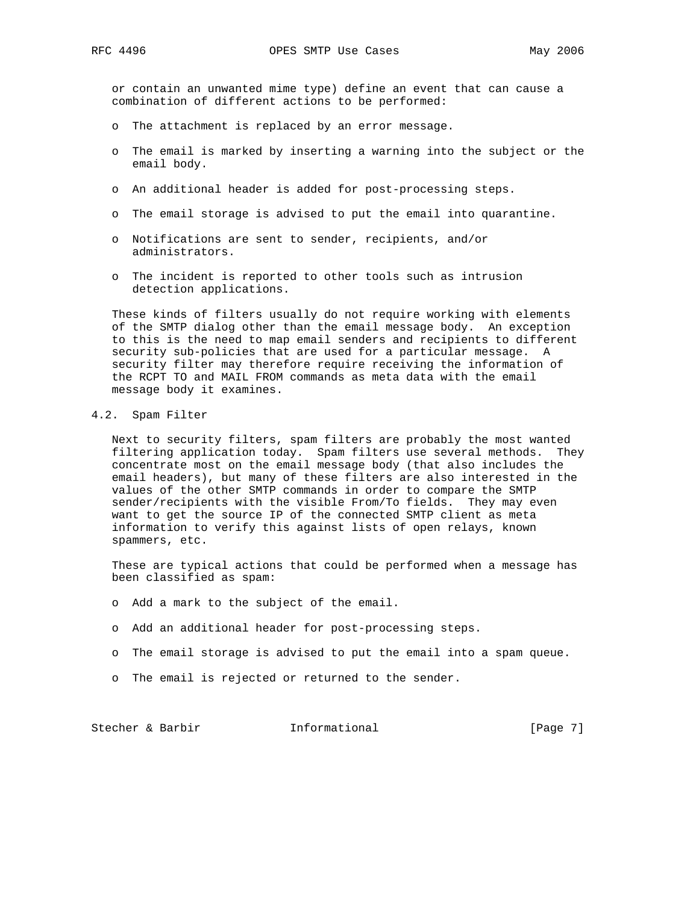or contain an unwanted mime type) define an event that can cause a combination of different actions to be performed:

- o The attachment is replaced by an error message.
- o The email is marked by inserting a warning into the subject or the email body.
- o An additional header is added for post-processing steps.
- o The email storage is advised to put the email into quarantine.
- o Notifications are sent to sender, recipients, and/or administrators.
- o The incident is reported to other tools such as intrusion detection applications.

 These kinds of filters usually do not require working with elements of the SMTP dialog other than the email message body. An exception to this is the need to map email senders and recipients to different security sub-policies that are used for a particular message. A security filter may therefore require receiving the information of the RCPT TO and MAIL FROM commands as meta data with the email message body it examines.

## 4.2. Spam Filter

 Next to security filters, spam filters are probably the most wanted filtering application today. Spam filters use several methods. They concentrate most on the email message body (that also includes the email headers), but many of these filters are also interested in the values of the other SMTP commands in order to compare the SMTP sender/recipients with the visible From/To fields. They may even want to get the source IP of the connected SMTP client as meta information to verify this against lists of open relays, known spammers, etc.

 These are typical actions that could be performed when a message has been classified as spam:

- o Add a mark to the subject of the email.
- o Add an additional header for post-processing steps.
- o The email storage is advised to put the email into a spam queue.
- o The email is rejected or returned to the sender.

Stecher & Barbir **Informational** [Page 7]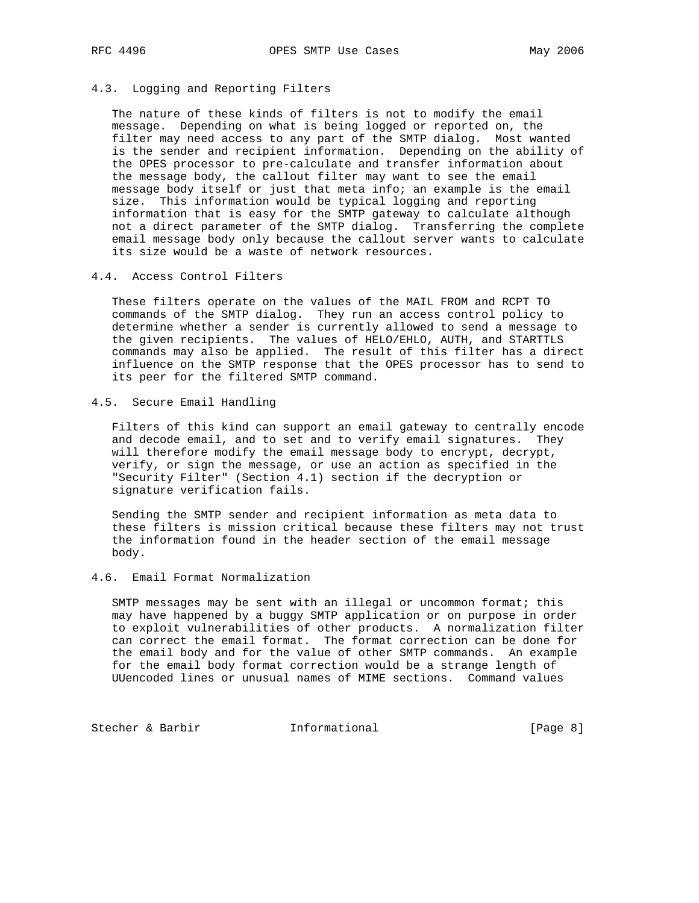#### 4.3. Logging and Reporting Filters

 The nature of these kinds of filters is not to modify the email message. Depending on what is being logged or reported on, the filter may need access to any part of the SMTP dialog. Most wanted is the sender and recipient information. Depending on the ability of the OPES processor to pre-calculate and transfer information about the message body, the callout filter may want to see the email message body itself or just that meta info; an example is the email size. This information would be typical logging and reporting information that is easy for the SMTP gateway to calculate although not a direct parameter of the SMTP dialog. Transferring the complete email message body only because the callout server wants to calculate its size would be a waste of network resources.

#### 4.4. Access Control Filters

 These filters operate on the values of the MAIL FROM and RCPT TO commands of the SMTP dialog. They run an access control policy to determine whether a sender is currently allowed to send a message to the given recipients. The values of HELO/EHLO, AUTH, and STARTTLS commands may also be applied. The result of this filter has a direct influence on the SMTP response that the OPES processor has to send to its peer for the filtered SMTP command.

## 4.5. Secure Email Handling

 Filters of this kind can support an email gateway to centrally encode and decode email, and to set and to verify email signatures. They will therefore modify the email message body to encrypt, decrypt, verify, or sign the message, or use an action as specified in the "Security Filter" (Section 4.1) section if the decryption or signature verification fails.

 Sending the SMTP sender and recipient information as meta data to these filters is mission critical because these filters may not trust the information found in the header section of the email message body.

### 4.6. Email Format Normalization

 SMTP messages may be sent with an illegal or uncommon format; this may have happened by a buggy SMTP application or on purpose in order to exploit vulnerabilities of other products. A normalization filter can correct the email format. The format correction can be done for the email body and for the value of other SMTP commands. An example for the email body format correction would be a strange length of UUencoded lines or unusual names of MIME sections. Command values

Stecher & Barbir **Informational** [Page 8]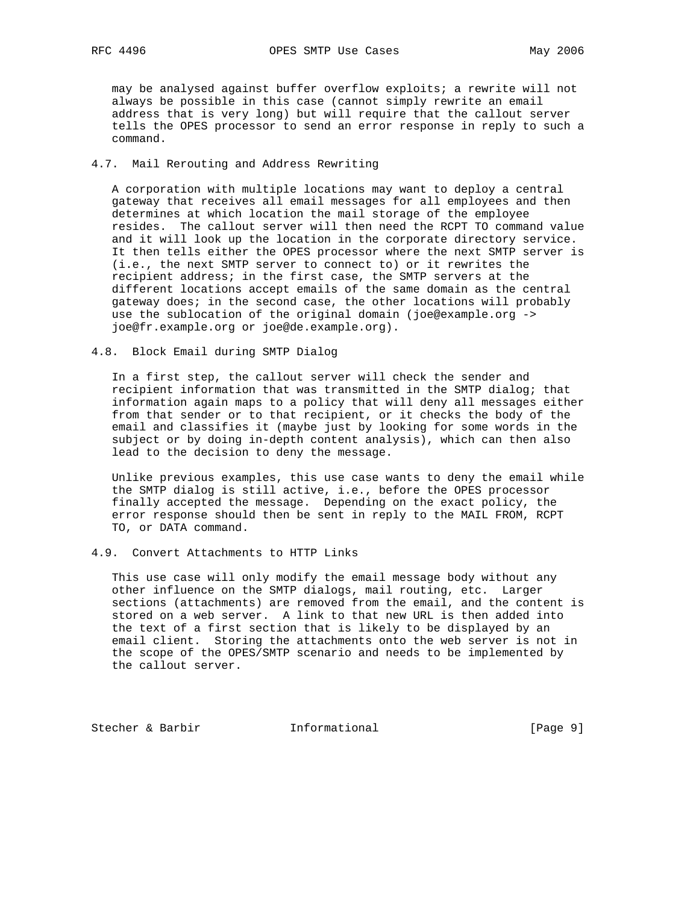may be analysed against buffer overflow exploits; a rewrite will not always be possible in this case (cannot simply rewrite an email address that is very long) but will require that the callout server tells the OPES processor to send an error response in reply to such a command.

## 4.7. Mail Rerouting and Address Rewriting

 A corporation with multiple locations may want to deploy a central gateway that receives all email messages for all employees and then determines at which location the mail storage of the employee resides. The callout server will then need the RCPT TO command value and it will look up the location in the corporate directory service. It then tells either the OPES processor where the next SMTP server is (i.e., the next SMTP server to connect to) or it rewrites the recipient address; in the first case, the SMTP servers at the different locations accept emails of the same domain as the central gateway does; in the second case, the other locations will probably use the sublocation of the original domain (joe@example.org -> joe@fr.example.org or joe@de.example.org).

4.8. Block Email during SMTP Dialog

 In a first step, the callout server will check the sender and recipient information that was transmitted in the SMTP dialog; that information again maps to a policy that will deny all messages either from that sender or to that recipient, or it checks the body of the email and classifies it (maybe just by looking for some words in the subject or by doing in-depth content analysis), which can then also lead to the decision to deny the message.

 Unlike previous examples, this use case wants to deny the email while the SMTP dialog is still active, i.e., before the OPES processor finally accepted the message. Depending on the exact policy, the error response should then be sent in reply to the MAIL FROM, RCPT TO, or DATA command.

#### 4.9. Convert Attachments to HTTP Links

 This use case will only modify the email message body without any other influence on the SMTP dialogs, mail routing, etc. Larger sections (attachments) are removed from the email, and the content is stored on a web server. A link to that new URL is then added into the text of a first section that is likely to be displayed by an email client. Storing the attachments onto the web server is not in the scope of the OPES/SMTP scenario and needs to be implemented by the callout server.

Stecher & Barbir **Informational** [Page 9]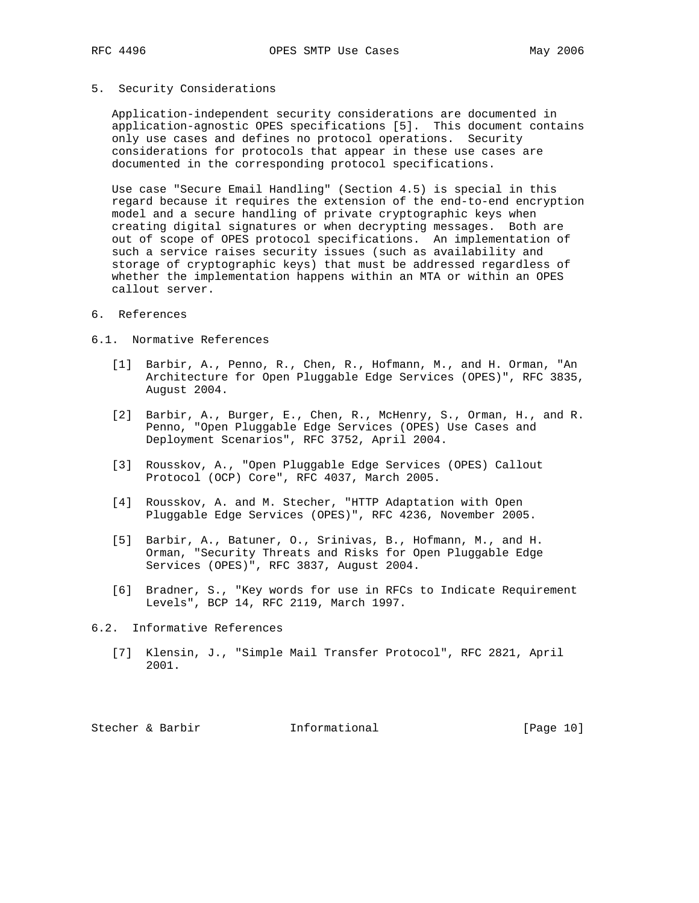# 5. Security Considerations

 Application-independent security considerations are documented in application-agnostic OPES specifications [5]. This document contains only use cases and defines no protocol operations. Security considerations for protocols that appear in these use cases are documented in the corresponding protocol specifications.

 Use case "Secure Email Handling" (Section 4.5) is special in this regard because it requires the extension of the end-to-end encryption model and a secure handling of private cryptographic keys when creating digital signatures or when decrypting messages. Both are out of scope of OPES protocol specifications. An implementation of such a service raises security issues (such as availability and storage of cryptographic keys) that must be addressed regardless of whether the implementation happens within an MTA or within an OPES callout server.

## 6. References

#### 6.1. Normative References

- [1] Barbir, A., Penno, R., Chen, R., Hofmann, M., and H. Orman, "An Architecture for Open Pluggable Edge Services (OPES)", RFC 3835, August 2004.
- [2] Barbir, A., Burger, E., Chen, R., McHenry, S., Orman, H., and R. Penno, "Open Pluggable Edge Services (OPES) Use Cases and Deployment Scenarios", RFC 3752, April 2004.
- [3] Rousskov, A., "Open Pluggable Edge Services (OPES) Callout Protocol (OCP) Core", RFC 4037, March 2005.
- [4] Rousskov, A. and M. Stecher, "HTTP Adaptation with Open Pluggable Edge Services (OPES)", RFC 4236, November 2005.
- [5] Barbir, A., Batuner, O., Srinivas, B., Hofmann, M., and H. Orman, "Security Threats and Risks for Open Pluggable Edge Services (OPES)", RFC 3837, August 2004.
- [6] Bradner, S., "Key words for use in RFCs to Indicate Requirement Levels", BCP 14, RFC 2119, March 1997.

#### 6.2. Informative References

 [7] Klensin, J., "Simple Mail Transfer Protocol", RFC 2821, April 2001.

Stecher & Barbir **Informational** [Page 10]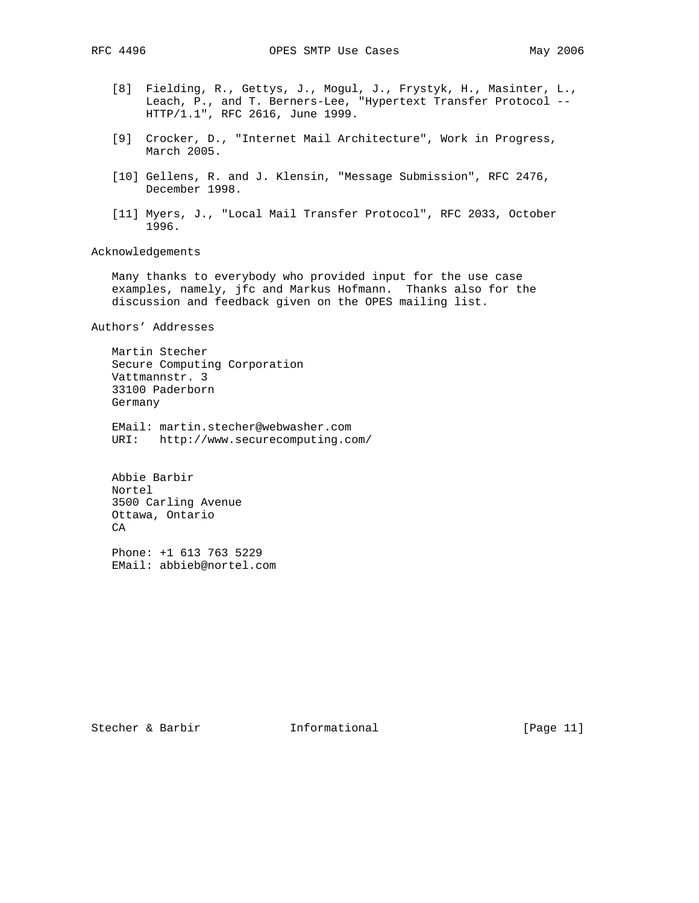- [8] Fielding, R., Gettys, J., Mogul, J., Frystyk, H., Masinter, L., Leach, P., and T. Berners-Lee, "Hypertext Transfer Protocol -- HTTP/1.1", RFC 2616, June 1999.
- [9] Crocker, D., "Internet Mail Architecture", Work in Progress, March 2005.
- [10] Gellens, R. and J. Klensin, "Message Submission", RFC 2476, December 1998.
- [11] Myers, J., "Local Mail Transfer Protocol", RFC 2033, October 1996.

Acknowledgements

 Many thanks to everybody who provided input for the use case examples, namely, jfc and Markus Hofmann. Thanks also for the discussion and feedback given on the OPES mailing list.

Authors' Addresses

 Martin Stecher Secure Computing Corporation Vattmannstr. 3 33100 Paderborn Germany

 EMail: martin.stecher@webwasher.com URI: http://www.securecomputing.com/

 Abbie Barbir Nortel 3500 Carling Avenue Ottawa, Ontario CA

 Phone: +1 613 763 5229 EMail: abbieb@nortel.com

Stecher & Barbir **Informational** [Page 11]